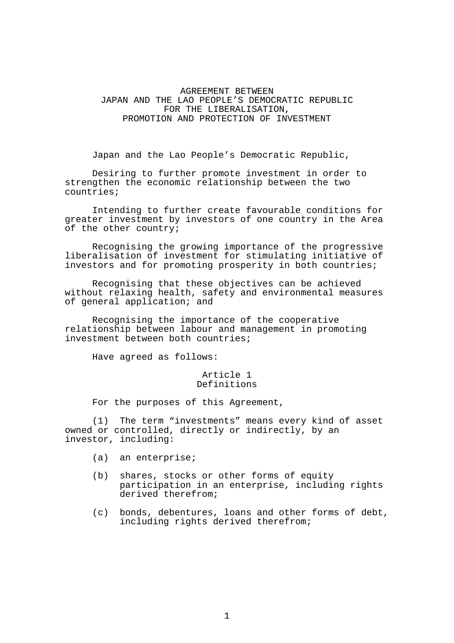# AGREEMENT BETWEEN JAPAN AND THE LAO PEOPLE'S DEMOCRATIC REPUBLIC FOR THE LIBERALISATION, PROMOTION AND PROTECTION OF INVESTMENT

Japan and the Lao People's Democratic Republic,

 Desiring to further promote investment in order to strengthen the economic relationship between the two countries;

 Intending to further create favourable conditions for greater investment by investors of one country in the Area of the other country;

 Recognising the growing importance of the progressive liberalisation of investment for stimulating initiative of investors and for promoting prosperity in both countries;

 Recognising that these objectives can be achieved without relaxing health, safety and environmental measures of general application; and

 Recognising the importance of the cooperative relationship between labour and management in promoting investment between both countries;

Have agreed as follows:

#### Article 1 Definitions

For the purposes of this Agreement,

 (1) The term "investments" means every kind of asset owned or controlled, directly or indirectly, by an investor, including:

- (a) an enterprise;
- (b) shares, stocks or other forms of equity participation in an enterprise, including rights derived therefrom;
- (c) bonds, debentures, loans and other forms of debt, including rights derived therefrom;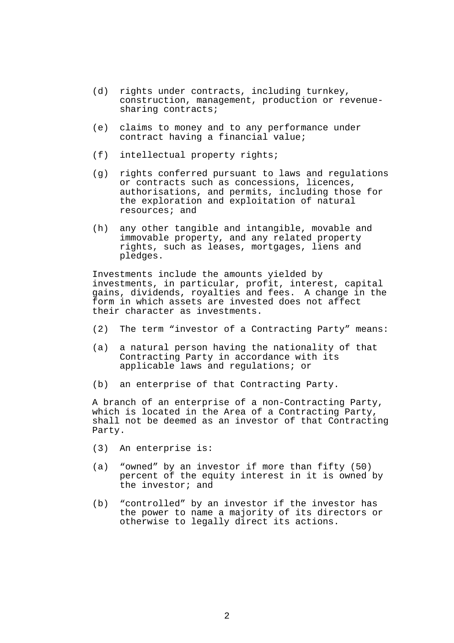- (d) rights under contracts, including turnkey, construction, management, production or revenuesharing contracts;
- (e) claims to money and to any performance under contract having a financial value;
- (f) intellectual property rights;
- (g) rights conferred pursuant to laws and regulations or contracts such as concessions, licences, authorisations, and permits, including those for the exploration and exploitation of natural resources; and
- (h) any other tangible and intangible, movable and immovable property, and any related property rights, such as leases, mortgages, liens and pledges.

 Investments include the amounts yielded by investments, in particular, profit, interest, capital gains, dividends, royalties and fees. A change in the form in which assets are invested does not affect their character as investments.

- (2) The term "investor of a Contracting Party" means:
- (a) a natural person having the nationality of that Contracting Party in accordance with its applicable laws and regulations; or
- (b) an enterprise of that Contracting Party.

 A branch of an enterprise of a non-Contracting Party, which is located in the Area of a Contracting Party, shall not be deemed as an investor of that Contracting Party.

- (3) An enterprise is:
- (a) "owned" by an investor if more than fifty (50) percent of the equity interest in it is owned by the investor; and
	- (b) "controlled" by an investor if the investor has the power to name a majority of its directors or otherwise to legally direct its actions.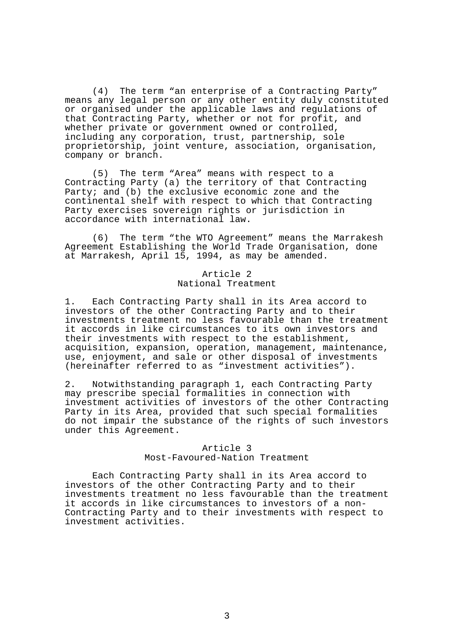(4) The term "an enterprise of a Contracting Party" means any legal person or any other entity duly constituted or organised under the applicable laws and regulations of that Contracting Party, whether or not for profit, and whether private or government owned or controlled, including any corporation, trust, partnership, sole proprietorship, joint venture, association, organisation, company or branch.

 (5) The term "Area" means with respect to a Contracting Party (a) the territory of that Contracting Party; and (b) the exclusive economic zone and the continental shelf with respect to which that Contracting Party exercises sovereign rights or jurisdiction in accordance with international law.

 (6) The term "the WTO Agreement" means the Marrakesh Agreement Establishing the World Trade Organisation, done at Marrakesh, April 15, 1994, as may be amended.

> Article 2 National Treatment

1. Each Contracting Party shall in its Area accord to investors of the other Contracting Party and to their investments treatment no less favourable than the treatment it accords in like circumstances to its own investors and their investments with respect to the establishment, acquisition, expansion, operation, management, maintenance, use, enjoyment, and sale or other disposal of investments (hereinafter referred to as "investment activities").

2. Notwithstanding paragraph 1, each Contracting Party may prescribe special formalities in connection with investment activities of investors of the other Contracting Party in its Area, provided that such special formalities do not impair the substance of the rights of such investors under this Agreement.

# Article 3 Most-Favoured-Nation Treatment

 Each Contracting Party shall in its Area accord to investors of the other Contracting Party and to their investments treatment no less favourable than the treatment it accords in like circumstances to investors of a non-Contracting Party and to their investments with respect to investment activities.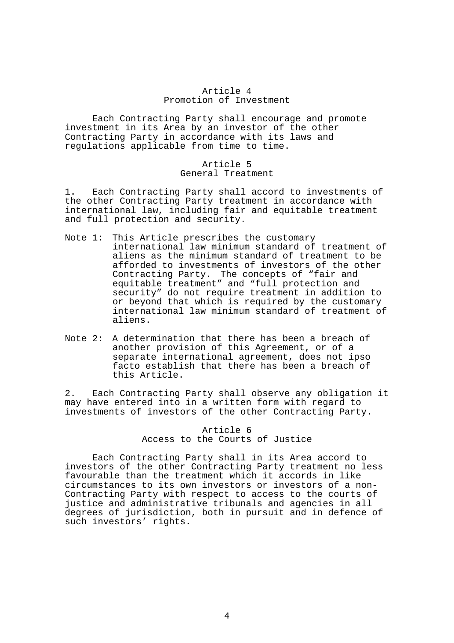### Article 4 Promotion of Investment

 Each Contracting Party shall encourage and promote investment in its Area by an investor of the other Contracting Party in accordance with its laws and regulations applicable from time to time.

### Article 5 General Treatment

1. Each Contracting Party shall accord to investments of the other Contracting Party treatment in accordance with international law, including fair and equitable treatment and full protection and security.

- Note 1: This Article prescribes the customary international law minimum standard of treatment of aliens as the minimum standard of treatment to be afforded to investments of investors of the other Contracting Party. The concepts of "fair and equitable treatment" and "full protection and security" do not require treatment in addition to or beyond that which is required by the customary international law minimum standard of treatment of aliens.
- Note 2: A determination that there has been a breach of another provision of this Agreement, or of a separate international agreement, does not ipso facto establish that there has been a breach of this Article.

2. Each Contracting Party shall observe any obligation it may have entered into in a written form with regard to investments of investors of the other Contracting Party.

# Article 6 Access to the Courts of Justice

 Each Contracting Party shall in its Area accord to investors of the other Contracting Party treatment no less favourable than the treatment which it accords in like circumstances to its own investors or investors of a non-Contracting Party with respect to access to the courts of justice and administrative tribunals and agencies in all degrees of jurisdiction, both in pursuit and in defence of such investors' rights.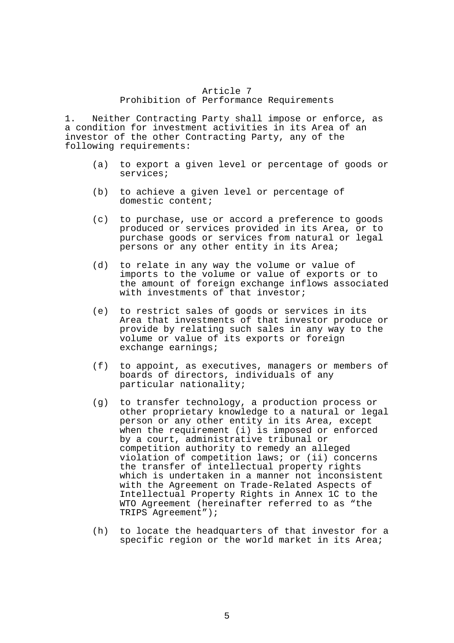# Article 7

# Prohibition of Performance Requirements

1. Neither Contracting Party shall impose or enforce, as a condition for investment activities in its Area of an investor of the other Contracting Party, any of the following requirements:

- (a) to export a given level or percentage of goods or services;
- (b) to achieve a given level or percentage of domestic content;
- (c) to purchase, use or accord a preference to goods produced or services provided in its Area, or to purchase goods or services from natural or legal persons or any other entity in its Area;
- (d) to relate in any way the volume or value of imports to the volume or value of exports or to the amount of foreign exchange inflows associated with investments of that investor;
- (e) to restrict sales of goods or services in its Area that investments of that investor produce or provide by relating such sales in any way to the volume or value of its exports or foreign exchange earnings;
- (f) to appoint, as executives, managers or members of boards of directors, individuals of any particular nationality;
- (g) to transfer technology, a production process or other proprietary knowledge to a natural or legal person or any other entity in its Area, except when the requirement (i) is imposed or enforced by a court, administrative tribunal or competition authority to remedy an alleged violation of competition laws; or (ii) concerns the transfer of intellectual property rights which is undertaken in a manner not inconsistent with the Agreement on Trade-Related Aspects of Intellectual Property Rights in Annex 1C to the WTO Agreement (hereinafter referred to as "the TRIPS Agreement");
- (h) to locate the headquarters of that investor for a specific region or the world market in its Area;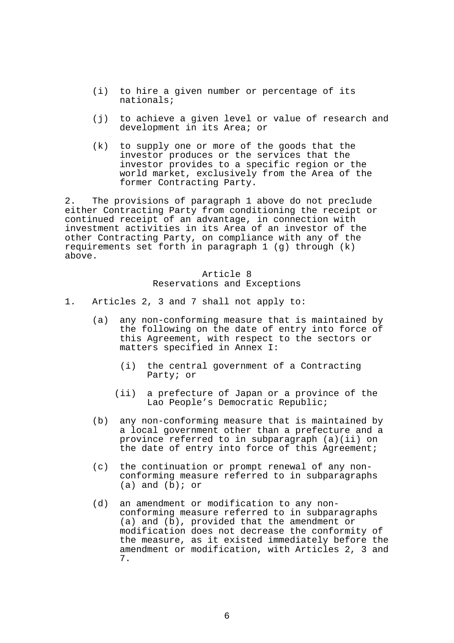- (i) to hire a given number or percentage of its nationals;
- (j) to achieve a given level or value of research and development in its Area; or
- (k) to supply one or more of the goods that the investor produces or the services that the investor provides to a specific region or the world market, exclusively from the Area of the former Contracting Party.

2. The provisions of paragraph 1 above do not preclude either Contracting Party from conditioning the receipt or continued receipt of an advantage, in connection with investment activities in its Area of an investor of the other Contracting Party, on compliance with any of the requirements set forth in paragraph 1 (g) through (k) above.

# Article 8 Reservations and Exceptions

- 1. Articles 2, 3 and 7 shall not apply to:
	- (a) any non-conforming measure that is maintained by the following on the date of entry into force of this Agreement, with respect to the sectors or matters specified in Annex I:
		- (i) the central government of a Contracting Party; or
		- (ii) a prefecture of Japan or a province of the Lao People's Democratic Republic;
	- (b) any non-conforming measure that is maintained by a local government other than a prefecture and a province referred to in subparagraph (a)(ii) on the date of entry into force of this Agreement;
	- (c) the continuation or prompt renewal of any nonconforming measure referred to in subparagraphs  $(a)$  and  $(b)$ ; or
	- (d) an amendment or modification to any nonconforming measure referred to in subparagraphs (a) and (b), provided that the amendment or modification does not decrease the conformity of the measure, as it existed immediately before the amendment or modification, with Articles 2, 3 and 7.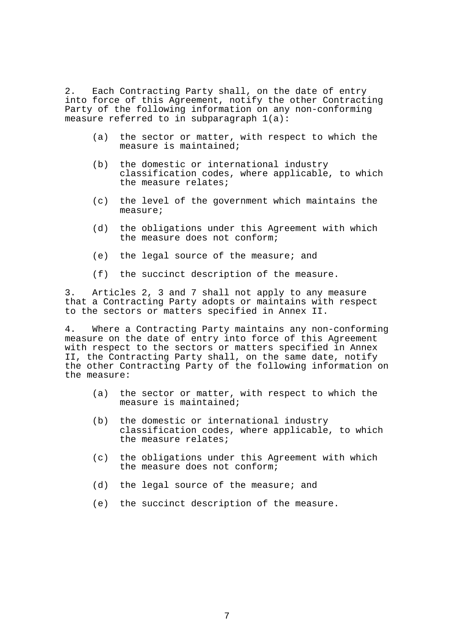2. Each Contracting Party shall, on the date of entry into force of this Agreement, notify the other Contracting Party of the following information on any non-conforming measure referred to in subparagraph 1(a):

- (a) the sector or matter, with respect to which the measure is maintained;
- (b) the domestic or international industry classification codes, where applicable, to which the measure relates;
- (c) the level of the government which maintains the measure;
- (d) the obligations under this Agreement with which the measure does not conform;
- (e) the legal source of the measure; and
- (f) the succinct description of the measure.

3. Articles 2, 3 and 7 shall not apply to any measure that a Contracting Party adopts or maintains with respect to the sectors or matters specified in Annex II.

4. Where a Contracting Party maintains any non-conforming measure on the date of entry into force of this Agreement with respect to the sectors or matters specified in Annex II, the Contracting Party shall, on the same date, notify the other Contracting Party of the following information on the measure:

- (a) the sector or matter, with respect to which the measure is maintained;
- (b) the domestic or international industry classification codes, where applicable, to which the measure relates;
- (c) the obligations under this Agreement with which the measure does not conform;
- (d) the legal source of the measure; and
- (e) the succinct description of the measure.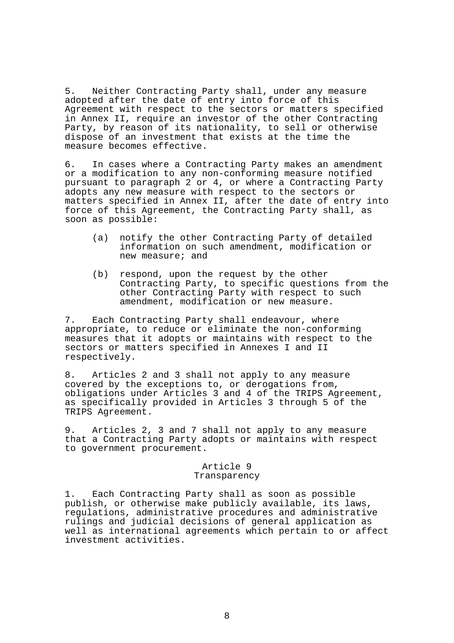5. Neither Contracting Party shall, under any measure adopted after the date of entry into force of this Agreement with respect to the sectors or matters specified in Annex II, require an investor of the other Contracting Party, by reason of its nationality, to sell or otherwise dispose of an investment that exists at the time the measure becomes effective.

6. In cases where a Contracting Party makes an amendment or a modification to any non-conforming measure notified pursuant to paragraph 2 or 4, or where a Contracting Party adopts any new measure with respect to the sectors or matters specified in Annex II, after the date of entry into force of this Agreement, the Contracting Party shall, as soon as possible:

- (a) notify the other Contracting Party of detailed information on such amendment, modification or new measure; and
- (b) respond, upon the request by the other Contracting Party, to specific questions from the other Contracting Party with respect to such amendment, modification or new measure.

7. Each Contracting Party shall endeavour, where appropriate, to reduce or eliminate the non-conforming measures that it adopts or maintains with respect to the sectors or matters specified in Annexes I and II respectively.

8. Articles 2 and 3 shall not apply to any measure covered by the exceptions to, or derogations from, obligations under Articles 3 and 4 of the TRIPS Agreement, as specifically provided in Articles 3 through 5 of the TRIPS Agreement.

9. Articles 2, 3 and 7 shall not apply to any measure that a Contracting Party adopts or maintains with respect to government procurement.

#### Article 9 Transparency

1. Each Contracting Party shall as soon as possible publish, or otherwise make publicly available, its laws, regulations, administrative procedures and administrative rulings and judicial decisions of general application as well as international agreements which pertain to or affect investment activities.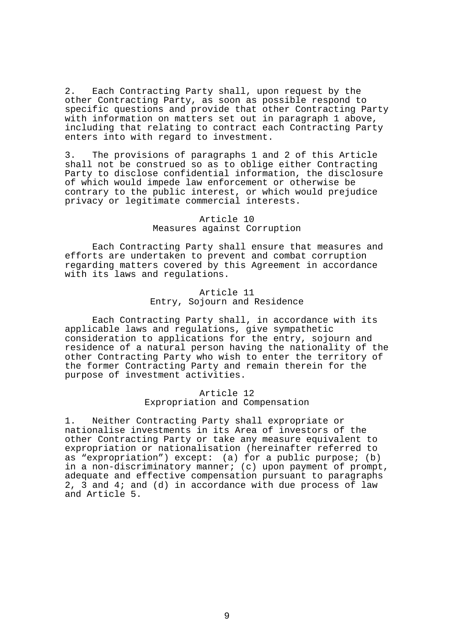2. Each Contracting Party shall, upon request by the other Contracting Party, as soon as possible respond to specific questions and provide that other Contracting Party with information on matters set out in paragraph 1 above, including that relating to contract each Contracting Party enters into with regard to investment.

3. The provisions of paragraphs 1 and 2 of this Article shall not be construed so as to oblige either Contracting Party to disclose confidential information, the disclosure of which would impede law enforcement or otherwise be contrary to the public interest, or which would prejudice privacy or legitimate commercial interests.

#### Article 10 Measures against Corruption

 Each Contracting Party shall ensure that measures and efforts are undertaken to prevent and combat corruption regarding matters covered by this Agreement in accordance with its laws and regulations.

# Article 11 Entry, Sojourn and Residence

 Each Contracting Party shall, in accordance with its applicable laws and regulations, give sympathetic consideration to applications for the entry, sojourn and residence of a natural person having the nationality of the other Contracting Party who wish to enter the territory of the former Contracting Party and remain therein for the purpose of investment activities.

# Article 12 Expropriation and Compensation

1. Neither Contracting Party shall expropriate or nationalise investments in its Area of investors of the other Contracting Party or take any measure equivalent to expropriation or nationalisation (hereinafter referred to as "expropriation") except: (a) for a public purpose; (b) in a non-discriminatory manner; (c) upon payment of prompt, adequate and effective compensation pursuant to paragraphs 2, 3 and 4; and (d) in accordance with due process of law and Article 5.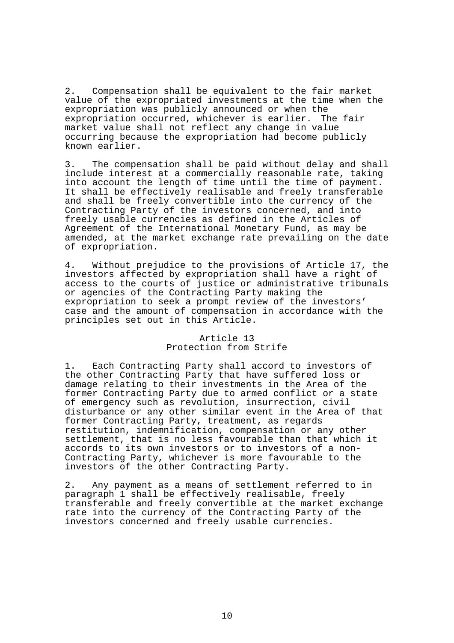2. Compensation shall be equivalent to the fair market value of the expropriated investments at the time when the expropriation was publicly announced or when the expropriation occurred, whichever is earlier. The fair market value shall not reflect any change in value occurring because the expropriation had become publicly known earlier.

3. The compensation shall be paid without delay and shall include interest at a commercially reasonable rate, taking into account the length of time until the time of payment. It shall be effectively realisable and freely transferable and shall be freely convertible into the currency of the Contracting Party of the investors concerned, and into freely usable currencies as defined in the Articles of Agreement of the International Monetary Fund, as may be amended, at the market exchange rate prevailing on the date of expropriation.

4. Without prejudice to the provisions of Article 17, the investors affected by expropriation shall have a right of access to the courts of justice or administrative tribunals or agencies of the Contracting Party making the expropriation to seek a prompt review of the investors' case and the amount of compensation in accordance with the principles set out in this Article.

# Article 13 Protection from Strife

1. Each Contracting Party shall accord to investors of the other Contracting Party that have suffered loss or damage relating to their investments in the Area of the former Contracting Party due to armed conflict or a state of emergency such as revolution, insurrection, civil disturbance or any other similar event in the Area of that former Contracting Party, treatment, as regards restitution, indemnification, compensation or any other settlement, that is no less favourable than that which it accords to its own investors or to investors of a non-Contracting Party, whichever is more favourable to the investors of the other Contracting Party.

2. Any payment as a means of settlement referred to in paragraph 1 shall be effectively realisable, freely transferable and freely convertible at the market exchange rate into the currency of the Contracting Party of the investors concerned and freely usable currencies.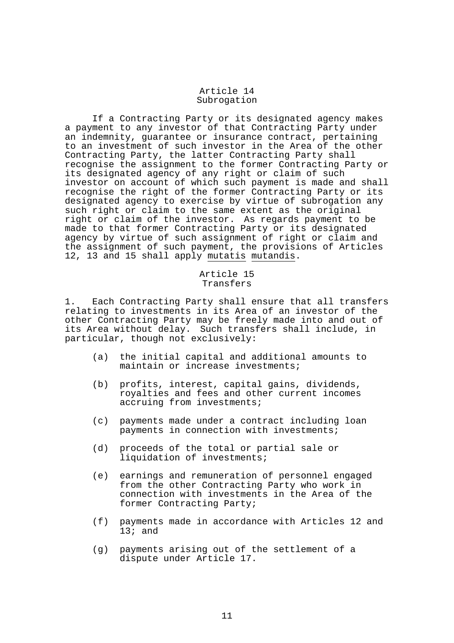#### Article 14 Subrogation

 If a Contracting Party or its designated agency makes a payment to any investor of that Contracting Party under an indemnity, guarantee or insurance contract, pertaining to an investment of such investor in the Area of the other Contracting Party, the latter Contracting Party shall recognise the assignment to the former Contracting Party or its designated agency of any right or claim of such investor on account of which such payment is made and shall recognise the right of the former Contracting Party or its designated agency to exercise by virtue of subrogation any such right or claim to the same extent as the original right or claim of the investor. As regards payment to be made to that former Contracting Party or its designated agency by virtue of such assignment of right or claim and the assignment of such payment, the provisions of Articles 12, 13 and 15 shall apply mutatis mutandis.

# Article 15 Transfers

1. Each Contracting Party shall ensure that all transfers relating to investments in its Area of an investor of the other Contracting Party may be freely made into and out of its Area without delay. Such transfers shall include, in particular, though not exclusively:

- (a) the initial capital and additional amounts to maintain or increase investments;
- (b) profits, interest, capital gains, dividends, royalties and fees and other current incomes accruing from investments;
- (c) payments made under a contract including loan payments in connection with investments;
- (d) proceeds of the total or partial sale or liquidation of investments;
- (e) earnings and remuneration of personnel engaged from the other Contracting Party who work in connection with investments in the Area of the former Contracting Party;
- (f) payments made in accordance with Articles 12 and  $13$ ; and
- (g) payments arising out of the settlement of a dispute under Article 17.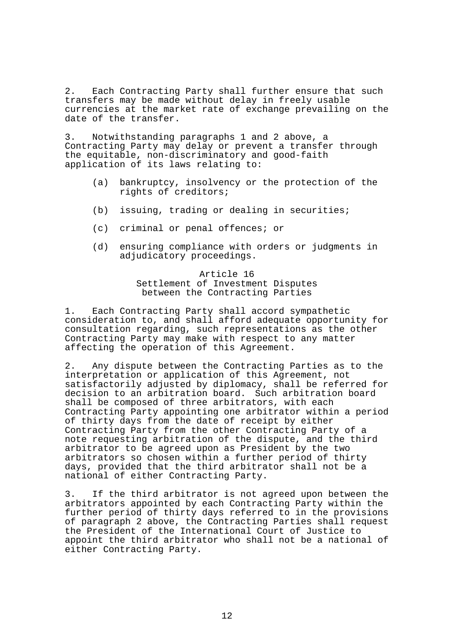2. Each Contracting Party shall further ensure that such transfers may be made without delay in freely usable currencies at the market rate of exchange prevailing on the date of the transfer.

3. Notwithstanding paragraphs 1 and 2 above, a Contracting Party may delay or prevent a transfer through the equitable, non-discriminatory and good-faith application of its laws relating to:

- (a) bankruptcy, insolvency or the protection of the rights of creditors;
- (b) issuing, trading or dealing in securities;
- (c) criminal or penal offences; or
- (d) ensuring compliance with orders or judgments in adjudicatory proceedings.

# Article 16 Settlement of Investment Disputes between the Contracting Parties

1. Each Contracting Party shall accord sympathetic consideration to, and shall afford adequate opportunity for consultation regarding, such representations as the other Contracting Party may make with respect to any matter affecting the operation of this Agreement.

2. Any dispute between the Contracting Parties as to the interpretation or application of this Agreement, not satisfactorily adjusted by diplomacy, shall be referred for decision to an arbitration board. Such arbitration board shall be composed of three arbitrators, with each Contracting Party appointing one arbitrator within a period of thirty days from the date of receipt by either Contracting Party from the other Contracting Party of a note requesting arbitration of the dispute, and the third arbitrator to be agreed upon as President by the two arbitrators so chosen within a further period of thirty days, provided that the third arbitrator shall not be a national of either Contracting Party.

3. If the third arbitrator is not agreed upon between the arbitrators appointed by each Contracting Party within the further period of thirty days referred to in the provisions of paragraph 2 above, the Contracting Parties shall request the President of the International Court of Justice to appoint the third arbitrator who shall not be a national of either Contracting Party.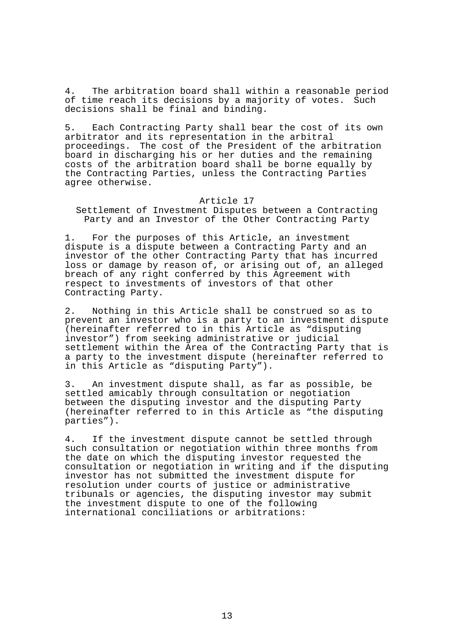4. The arbitration board shall within a reasonable period of time reach its decisions by a majority of votes. Such decisions shall be final and binding.

5. Each Contracting Party shall bear the cost of its own arbitrator and its representation in the arbitral proceedings. The cost of the President of the arbitration board in discharging his or her duties and the remaining costs of the arbitration board shall be borne equally by the Contracting Parties, unless the Contracting Parties agree otherwise.

#### Article 17

Settlement of Investment Disputes between a Contracting Party and an Investor of the Other Contracting Party

For the purposes of this Article, an investment dispute is a dispute between a Contracting Party and an investor of the other Contracting Party that has incurred loss or damage by reason of, or arising out of, an alleged breach of any right conferred by this Agreement with respect to investments of investors of that other Contracting Party.

2. Nothing in this Article shall be construed so as to prevent an investor who is a party to an investment dispute (hereinafter referred to in this Article as "disputing investor") from seeking administrative or judicial settlement within the Area of the Contracting Party that is a party to the investment dispute (hereinafter referred to in this Article as "disputing Party").

3. An investment dispute shall, as far as possible, be settled amicably through consultation or negotiation between the disputing investor and the disputing Party (hereinafter referred to in this Article as "the disputing parties").

4. If the investment dispute cannot be settled through such consultation or negotiation within three months from the date on which the disputing investor requested the consultation or negotiation in writing and if the disputing investor has not submitted the investment dispute for resolution under courts of justice or administrative tribunals or agencies, the disputing investor may submit the investment dispute to one of the following international conciliations or arbitrations: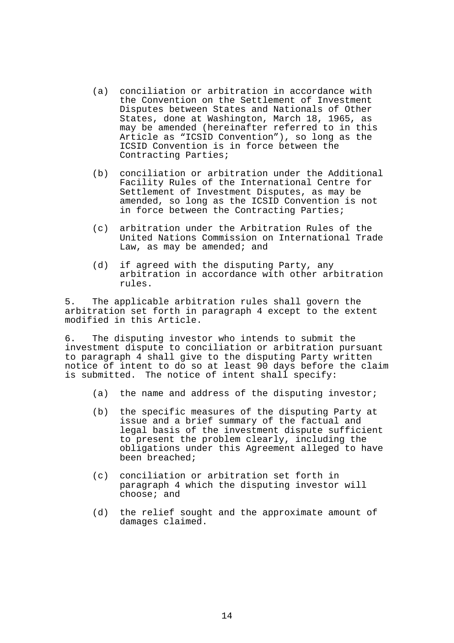- (a) conciliation or arbitration in accordance with the Convention on the Settlement of Investment Disputes between States and Nationals of Other States, done at Washington, March 18, 1965, as may be amended (hereinafter referred to in this Article as "ICSID Convention"), so long as the ICSID Convention is in force between the Contracting Parties;
- (b) conciliation or arbitration under the Additional Facility Rules of the International Centre for Settlement of Investment Disputes, as may be amended, so long as the ICSID Convention is not in force between the Contracting Parties;
- (c) arbitration under the Arbitration Rules of the United Nations Commission on International Trade Law, as may be amended; and
- (d) if agreed with the disputing Party, any arbitration in accordance with other arbitration rules.

5. The applicable arbitration rules shall govern the arbitration set forth in paragraph 4 except to the extent modified in this Article.

6. The disputing investor who intends to submit the investment dispute to conciliation or arbitration pursuant to paragraph 4 shall give to the disputing Party written notice of intent to do so at least 90 days before the claim is submitted. The notice of intent shall specify:

- (a) the name and address of the disputing investor;
- (b) the specific measures of the disputing Party at issue and a brief summary of the factual and legal basis of the investment dispute sufficient to present the problem clearly, including the obligations under this Agreement alleged to have been breached;
- (c) conciliation or arbitration set forth in paragraph 4 which the disputing investor will choose; and
- (d) the relief sought and the approximate amount of damages claimed.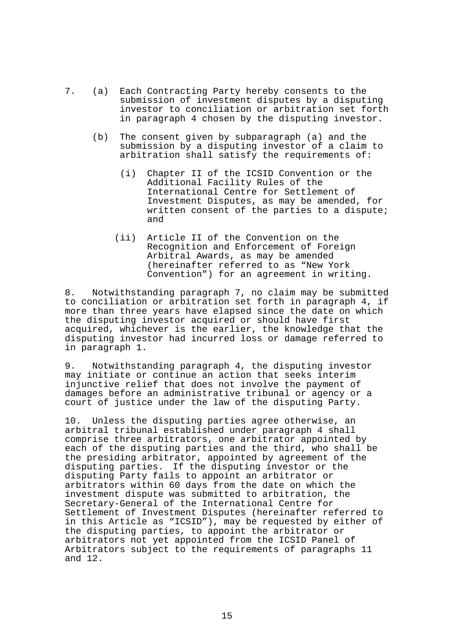- 7. (a) Each Contracting Party hereby consents to the submission of investment disputes by a disputing investor to conciliation or arbitration set forth in paragraph 4 chosen by the disputing investor.
	- (b) The consent given by subparagraph (a) and the submission by a disputing investor of a claim to arbitration shall satisfy the requirements of:
		- (i) Chapter II of the ICSID Convention or the Additional Facility Rules of the International Centre for Settlement of Investment Disputes, as may be amended, for written consent of the parties to a dispute; and
		- (ii) Article II of the Convention on the Recognition and Enforcement of Foreign Arbitral Awards, as may be amended (hereinafter referred to as "New York Convention") for an agreement in writing.

8. Notwithstanding paragraph 7, no claim may be submitted to conciliation or arbitration set forth in paragraph 4, if more than three years have elapsed since the date on which the disputing investor acquired or should have first acquired, whichever is the earlier, the knowledge that the disputing investor had incurred loss or damage referred to in paragraph 1.

9. Notwithstanding paragraph 4, the disputing investor may initiate or continue an action that seeks interim injunctive relief that does not involve the payment of damages before an administrative tribunal or agency or a court of justice under the law of the disputing Party.

10. Unless the disputing parties agree otherwise, an arbitral tribunal established under paragraph 4 shall comprise three arbitrators, one arbitrator appointed by each of the disputing parties and the third, who shall be the presiding arbitrator, appointed by agreement of the disputing parties. If the disputing investor or the disputing Party fails to appoint an arbitrator or arbitrators within 60 days from the date on which the investment dispute was submitted to arbitration, the Secretary-General of the International Centre for Settlement of Investment Disputes (hereinafter referred to in this Article as "ICSID"), may be requested by either of the disputing parties, to appoint the arbitrator or arbitrators not yet appointed from the ICSID Panel of Arbitrators subject to the requirements of paragraphs 11 and 12.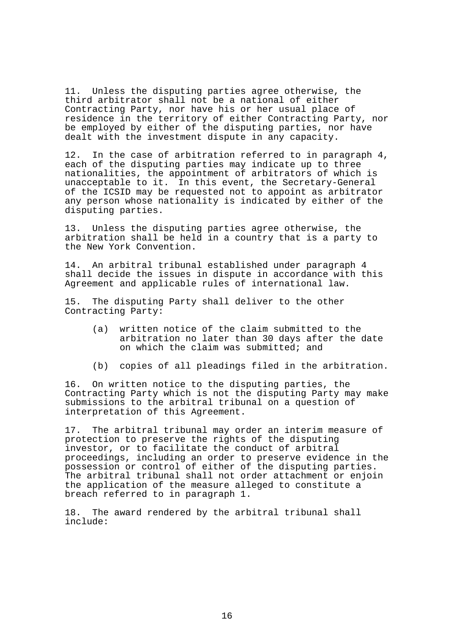11. Unless the disputing parties agree otherwise, the third arbitrator shall not be a national of either Contracting Party, nor have his or her usual place of residence in the territory of either Contracting Party, nor be employed by either of the disputing parties, nor have dealt with the investment dispute in any capacity.

12. In the case of arbitration referred to in paragraph 4, each of the disputing parties may indicate up to three nationalities, the appointment of arbitrators of which is unacceptable to it. In this event, the Secretary-General of the ICSID may be requested not to appoint as arbitrator any person whose nationality is indicated by either of the disputing parties.

13. Unless the disputing parties agree otherwise, the arbitration shall be held in a country that is a party to the New York Convention.

14. An arbitral tribunal established under paragraph 4 shall decide the issues in dispute in accordance with this Agreement and applicable rules of international law.

15. The disputing Party shall deliver to the other Contracting Party:

- (a) written notice of the claim submitted to the arbitration no later than 30 days after the date on which the claim was submitted; and
- (b) copies of all pleadings filed in the arbitration.

16. On written notice to the disputing parties, the Contracting Party which is not the disputing Party may make submissions to the arbitral tribunal on a question of interpretation of this Agreement.

17. The arbitral tribunal may order an interim measure of protection to preserve the rights of the disputing investor, or to facilitate the conduct of arbitral proceedings, including an order to preserve evidence in the possession or control of either of the disputing parties. The arbitral tribunal shall not order attachment or enjoin the application of the measure alleged to constitute a breach referred to in paragraph 1.

18. The award rendered by the arbitral tribunal shall include: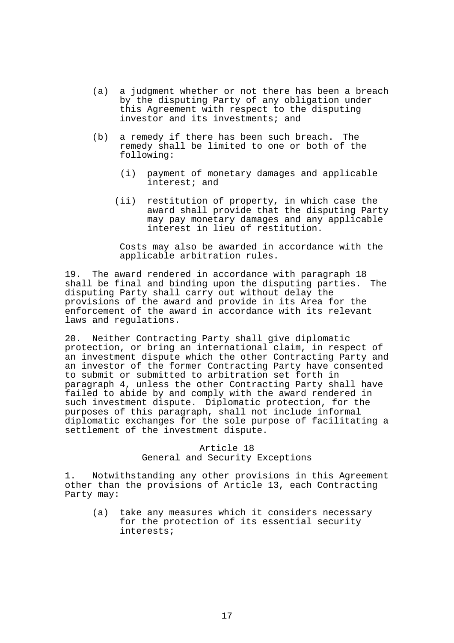- (a) a judgment whether or not there has been a breach by the disputing Party of any obligation under this Agreement with respect to the disputing investor and its investments; and
- (b) a remedy if there has been such breach. The remedy shall be limited to one or both of the following:
	- (i) payment of monetary damages and applicable interest; and
	- (ii) restitution of property, in which case the award shall provide that the disputing Party may pay monetary damages and any applicable interest in lieu of restitution.

 Costs may also be awarded in accordance with the applicable arbitration rules.

19. The award rendered in accordance with paragraph 18 shall be final and binding upon the disputing parties. The disputing Party shall carry out without delay the provisions of the award and provide in its Area for the enforcement of the award in accordance with its relevant laws and regulations.

20. Neither Contracting Party shall give diplomatic protection, or bring an international claim, in respect of an investment dispute which the other Contracting Party and an investor of the former Contracting Party have consented to submit or submitted to arbitration set forth in paragraph 4, unless the other Contracting Party shall have failed to abide by and comply with the award rendered in such investment dispute. Diplomatic protection, for the purposes of this paragraph, shall not include informal diplomatic exchanges for the sole purpose of facilitating a settlement of the investment dispute.

# Article 18 General and Security Exceptions

1. Notwithstanding any other provisions in this Agreement other than the provisions of Article 13, each Contracting Party may:

 (a) take any measures which it considers necessary for the protection of its essential security interests;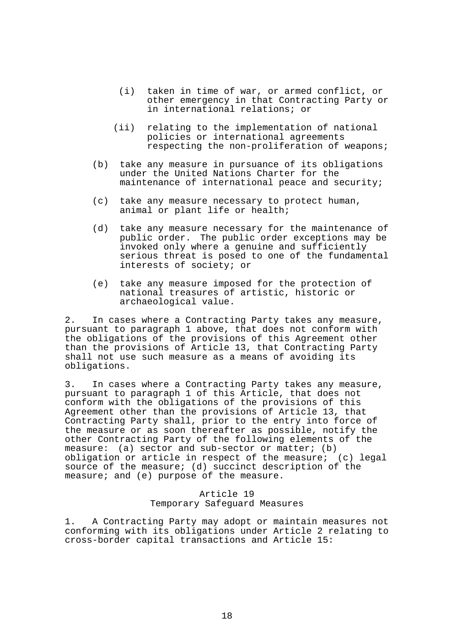- (i) taken in time of war, or armed conflict, or other emergency in that Contracting Party or in international relations; or
- (ii) relating to the implementation of national policies or international agreements respecting the non-proliferation of weapons;
- (b) take any measure in pursuance of its obligations under the United Nations Charter for the maintenance of international peace and security;
- (c) take any measure necessary to protect human, animal or plant life or health;
- (d) take any measure necessary for the maintenance of public order. The public order exceptions may be invoked only where a genuine and sufficiently serious threat is posed to one of the fundamental interests of society; or
- (e) take any measure imposed for the protection of national treasures of artistic, historic or archaeological value.

2. In cases where a Contracting Party takes any measure, pursuant to paragraph 1 above, that does not conform with the obligations of the provisions of this Agreement other than the provisions of Article 13, that Contracting Party shall not use such measure as a means of avoiding its obligations.

3. In cases where a Contracting Party takes any measure, pursuant to paragraph 1 of this Article, that does not conform with the obligations of the provisions of this Agreement other than the provisions of Article 13, that Contracting Party shall, prior to the entry into force of the measure or as soon thereafter as possible, notify the other Contracting Party of the following elements of the measure: (a) sector and sub-sector or matter; (b) obligation or article in respect of the measure; (c) legal source of the measure; (d) succinct description of the measure; and (e) purpose of the measure.

# Article 19 Temporary Safeguard Measures

1. A Contracting Party may adopt or maintain measures not conforming with its obligations under Article 2 relating to cross-border capital transactions and Article 15: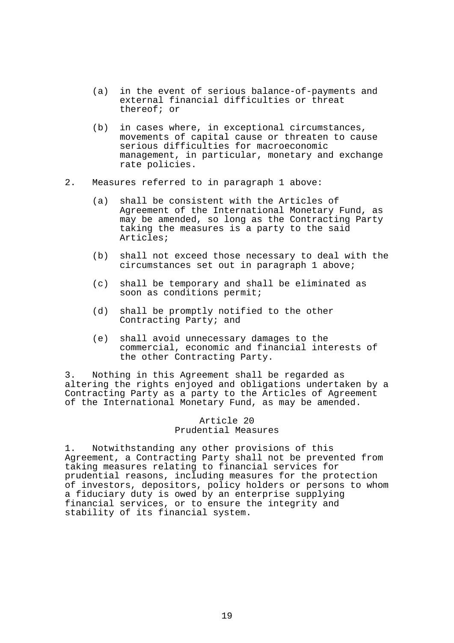- (a) in the event of serious balance-of-payments and external financial difficulties or threat thereof; or
- (b) in cases where, in exceptional circumstances, movements of capital cause or threaten to cause serious difficulties for macroeconomic management, in particular, monetary and exchange rate policies.
- 2. Measures referred to in paragraph 1 above:
	- (a) shall be consistent with the Articles of Agreement of the International Monetary Fund, as may be amended, so long as the Contracting Party taking the measures is a party to the said Articles;
	- (b) shall not exceed those necessary to deal with the circumstances set out in paragraph 1 above;
	- (c) shall be temporary and shall be eliminated as soon as conditions permit;
	- (d) shall be promptly notified to the other Contracting Party; and
	- (e) shall avoid unnecessary damages to the commercial, economic and financial interests of the other Contracting Party.

3. Nothing in this Agreement shall be regarded as altering the rights enjoyed and obligations undertaken by a Contracting Party as a party to the Articles of Agreement of the International Monetary Fund, as may be amended.

> Article 20 Prudential Measures

1. Notwithstanding any other provisions of this Agreement, a Contracting Party shall not be prevented from taking measures relating to financial services for prudential reasons, including measures for the protection of investors, depositors, policy holders or persons to whom a fiduciary duty is owed by an enterprise supplying financial services, or to ensure the integrity and stability of its financial system.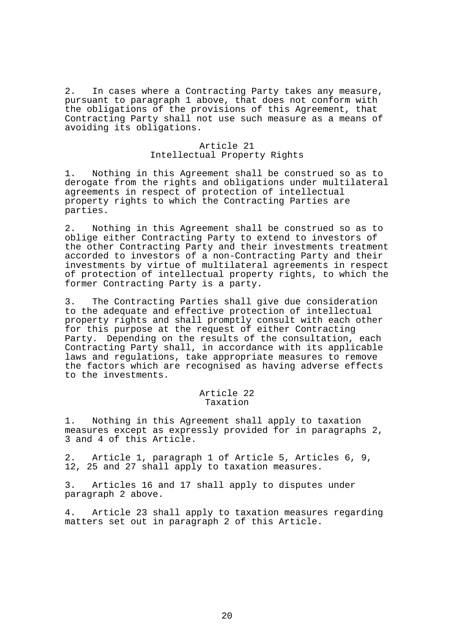2. In cases where a Contracting Party takes any measure, pursuant to paragraph 1 above, that does not conform with the obligations of the provisions of this Agreement, that Contracting Party shall not use such measure as a means of avoiding its obligations.

### Article 21 Intellectual Property Rights

1. Nothing in this Agreement shall be construed so as to derogate from the rights and obligations under multilateral agreements in respect of protection of intellectual property rights to which the Contracting Parties are parties.

2. Nothing in this Agreement shall be construed so as to oblige either Contracting Party to extend to investors of the other Contracting Party and their investments treatment accorded to investors of a non-Contracting Party and their investments by virtue of multilateral agreements in respect of protection of intellectual property rights, to which the former Contracting Party is a party.

3. The Contracting Parties shall give due consideration to the adequate and effective protection of intellectual property rights and shall promptly consult with each other for this purpose at the request of either Contracting Party. Depending on the results of the consultation, each Contracting Party shall, in accordance with its applicable laws and regulations, take appropriate measures to remove the factors which are recognised as having adverse effects to the investments.

## Article 22 Taxation

1. Nothing in this Agreement shall apply to taxation measures except as expressly provided for in paragraphs 2, 3 and 4 of this Article.

2. Article 1, paragraph 1 of Article 5, Articles 6, 9, 12, 25 and 27 shall apply to taxation measures.

3. Articles 16 and 17 shall apply to disputes under paragraph 2 above.

4. Article 23 shall apply to taxation measures regarding matters set out in paragraph 2 of this Article.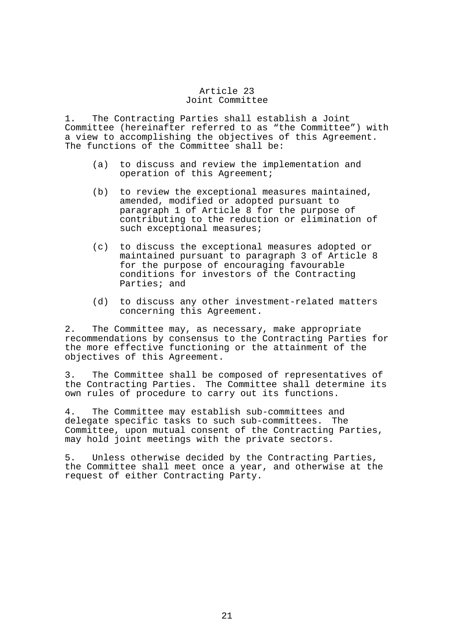### Article 23 Joint Committee

1. The Contracting Parties shall establish a Joint Committee (hereinafter referred to as "the Committee") with a view to accomplishing the objectives of this Agreement. The functions of the Committee shall be:

- (a) to discuss and review the implementation and operation of this Agreement;
- (b) to review the exceptional measures maintained, amended, modified or adopted pursuant to paragraph 1 of Article 8 for the purpose of contributing to the reduction or elimination of such exceptional measures;
- (c) to discuss the exceptional measures adopted or maintained pursuant to paragraph 3 of Article 8 for the purpose of encouraging favourable conditions for investors of the Contracting Parties; and
- (d) to discuss any other investment-related matters concerning this Agreement.

2. The Committee may, as necessary, make appropriate recommendations by consensus to the Contracting Parties for the more effective functioning or the attainment of the objectives of this Agreement.

3. The Committee shall be composed of representatives of the Contracting Parties. The Committee shall determine its own rules of procedure to carry out its functions.

4. The Committee may establish sub-committees and delegate specific tasks to such sub-committees. The Committee, upon mutual consent of the Contracting Parties, may hold joint meetings with the private sectors.

5. Unless otherwise decided by the Contracting Parties, the Committee shall meet once a year, and otherwise at the request of either Contracting Party.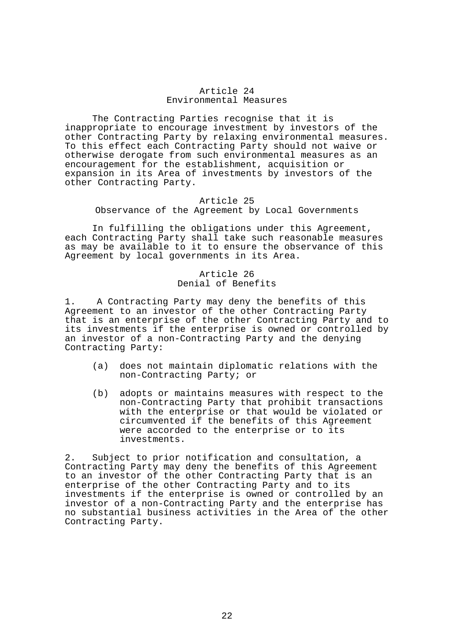### Article 24 Environmental Measures

 The Contracting Parties recognise that it is inappropriate to encourage investment by investors of the other Contracting Party by relaxing environmental measures. To this effect each Contracting Party should not waive or otherwise derogate from such environmental measures as an encouragement for the establishment, acquisition or expansion in its Area of investments by investors of the other Contracting Party.

# Article 25 Observance of the Agreement by Local Governments

 In fulfilling the obligations under this Agreement, each Contracting Party shall take such reasonable measures as may be available to it to ensure the observance of this Agreement by local governments in its Area.

# Article 26 Denial of Benefits

1. A Contracting Party may deny the benefits of this Agreement to an investor of the other Contracting Party that is an enterprise of the other Contracting Party and to its investments if the enterprise is owned or controlled by an investor of a non-Contracting Party and the denying Contracting Party:

- (a) does not maintain diplomatic relations with the non-Contracting Party; or
- (b) adopts or maintains measures with respect to the non-Contracting Party that prohibit transactions with the enterprise or that would be violated or circumvented if the benefits of this Agreement were accorded to the enterprise or to its investments.

2. Subject to prior notification and consultation, a Contracting Party may deny the benefits of this Agreement to an investor of the other Contracting Party that is an enterprise of the other Contracting Party and to its investments if the enterprise is owned or controlled by an investor of a non-Contracting Party and the enterprise has no substantial business activities in the Area of the other Contracting Party.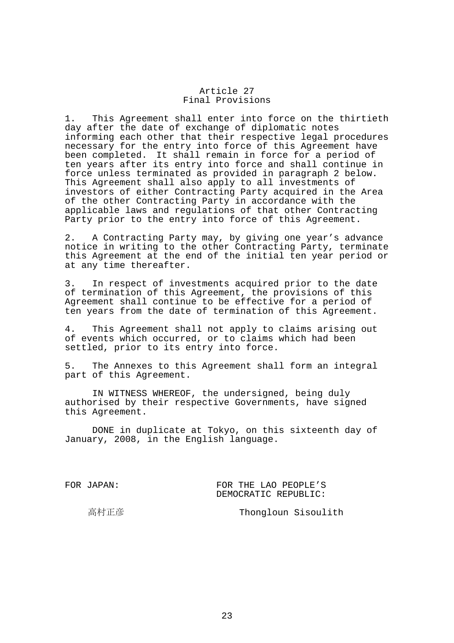### Article 27 Final Provisions

1. This Agreement shall enter into force on the thirtieth day after the date of exchange of diplomatic notes informing each other that their respective legal procedures necessary for the entry into force of this Agreement have been completed. It shall remain in force for a period of ten years after its entry into force and shall continue in force unless terminated as provided in paragraph 2 below. This Agreement shall also apply to all investments of investors of either Contracting Party acquired in the Area of the other Contracting Party in accordance with the applicable laws and regulations of that other Contracting Party prior to the entry into force of this Agreement.

2. A Contracting Party may, by giving one year's advance notice in writing to the other Contracting Party, terminate this Agreement at the end of the initial ten year period or at any time thereafter.

3. In respect of investments acquired prior to the date of termination of this Agreement, the provisions of this Agreement shall continue to be effective for a period of ten years from the date of termination of this Agreement.

4. This Agreement shall not apply to claims arising out of events which occurred, or to claims which had been settled, prior to its entry into force.

5. The Annexes to this Agreement shall form an integral part of this Agreement.

 IN WITNESS WHEREOF, the undersigned, being duly authorised by their respective Governments, have signed this Agreement.

 DONE in duplicate at Tokyo, on this sixteenth day of January, 2008, in the English language.

FOR JAPAN: FOR THE LAO PEOPLE'S DEMOCRATIC REPUBLIC:

高村正彦 Thongloun Sisoulith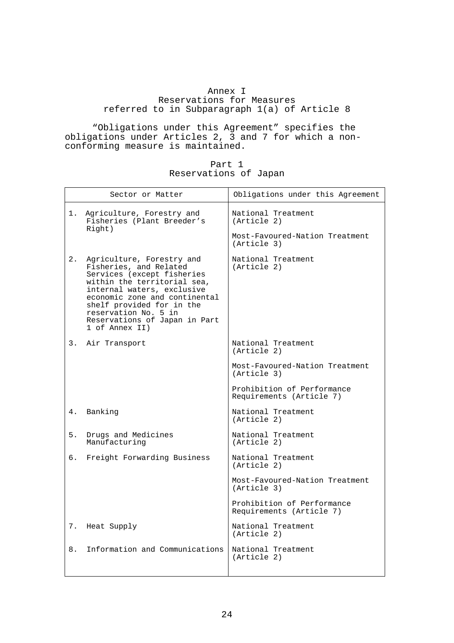# Annex I

# Reservations for Measures referred to in Subparagraph 1(a) of Article 8

 "Obligations under this Agreement" specifies the obligations under Articles 2, 3 and 7 for which a nonconforming measure is maintained.

| Part 1                |  |
|-----------------------|--|
| Reservations of Japan |  |

|    | Sector or Matter                                                                                                                                                                                                                                                                        | Obligations under this Agreement                                                   |
|----|-----------------------------------------------------------------------------------------------------------------------------------------------------------------------------------------------------------------------------------------------------------------------------------------|------------------------------------------------------------------------------------|
| 1. | Agriculture, Forestry and<br>Fisheries (Plant Breeder's<br>Right)                                                                                                                                                                                                                       | National Treatment<br>(Article 2)<br>Most-Favoured-Nation Treatment<br>(Article 3) |
| 2. | Agriculture, Forestry and<br>Fisheries, and Related<br>Services (except fisheries<br>within the territorial sea,<br>internal waters, exclusive<br>economic zone and continental<br>shelf provided for in the<br>reservation No. 5 in<br>Reservations of Japan in Part<br>1 of Annex II) | National Treatment<br>(Article 2)                                                  |
| 3. | Air Transport                                                                                                                                                                                                                                                                           | National Treatment<br>(Article 2)                                                  |
|    |                                                                                                                                                                                                                                                                                         | Most-Favoured-Nation Treatment<br>(Article 3)                                      |
|    |                                                                                                                                                                                                                                                                                         | Prohibition of Performance<br>Requirements (Article 7)                             |
| 4. | Banking                                                                                                                                                                                                                                                                                 | National Treatment<br>(Article 2)                                                  |
| 5. | Drugs and Medicines<br>Manufacturing                                                                                                                                                                                                                                                    | National Treatment<br>(Article 2)                                                  |
| б. | Freight Forwarding Business                                                                                                                                                                                                                                                             | National Treatment<br>(Article 2)                                                  |
|    |                                                                                                                                                                                                                                                                                         | Most-Favoured-Nation Treatment<br>(Article 3)                                      |
|    |                                                                                                                                                                                                                                                                                         | Prohibition of Performance<br>Requirements (Article 7)                             |
| 7. | Heat Supply                                                                                                                                                                                                                                                                             | National Treatment<br>(Article 2)                                                  |
| 8. | Information and Communications                                                                                                                                                                                                                                                          | National Treatment<br>(Article 2)                                                  |
|    |                                                                                                                                                                                                                                                                                         |                                                                                    |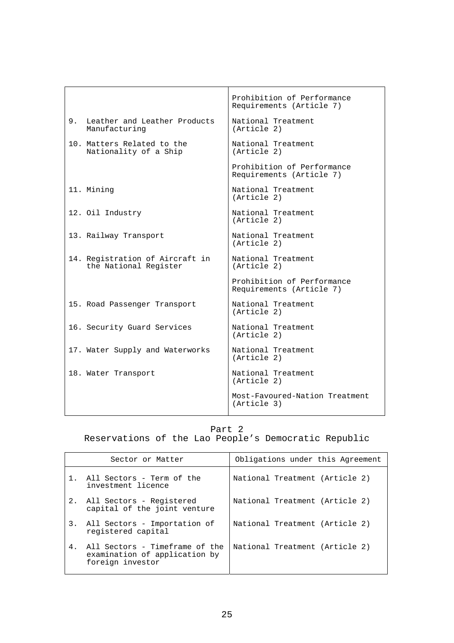|            |                                                          | Prohibition of Performance<br>Requirements (Article 7) |
|------------|----------------------------------------------------------|--------------------------------------------------------|
| 9.         | Leather and Leather Products<br>Manufacturing            | National Treatment<br>(Article 2)                      |
|            | 10. Matters Related to the<br>Nationality of a Ship      | National Treatment<br>(Article 2)                      |
|            |                                                          | Prohibition of Performance<br>Requirements (Article 7) |
| 11. Mining |                                                          | National Treatment<br>(Article 2)                      |
|            | 12. Oil Industry                                         | National Treatment<br>(Article 2)                      |
|            | 13. Railway Transport                                    | National Treatment<br>(Article 2)                      |
|            | 14. Registration of Aircraft in<br>the National Register | National Treatment<br>(Article 2)                      |
|            |                                                          | Prohibition of Performance<br>Requirements (Article 7) |
|            | 15. Road Passenger Transport                             | National Treatment<br>(Article 2)                      |
|            | 16. Security Guard Services                              | National Treatment<br>(Article 2)                      |
|            | 17. Water Supply and Waterworks                          | National Treatment<br>(Article 2)                      |
|            | 18. Water Transport                                      | National Treatment<br>(Article 2)                      |
|            |                                                          | Most-Favoured-Nation Treatment<br>(Article 3)          |

# Part 2

Reservations of the Lao People's Democratic Republic

|       | Sector or Matter                                                                    | Obligations under this Agreement |
|-------|-------------------------------------------------------------------------------------|----------------------------------|
| $1$ . | All Sectors - Term of the<br>investment licence                                     | National Treatment (Article 2)   |
|       | 2. All Sectors - Registered<br>capital of the joint venture                         | National Treatment (Article 2)   |
|       | 3. All Sectors - Importation of<br>registered capital                               | National Treatment (Article 2)   |
| 4.    | All Sectors - Timeframe of the<br>examination of application by<br>foreign investor | National Treatment (Article 2)   |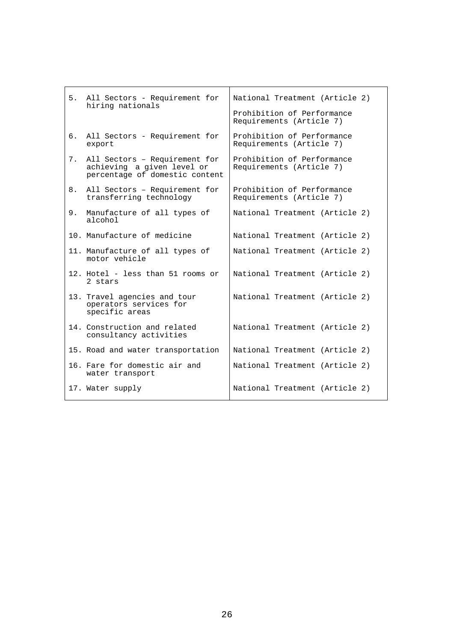|    | 5. All Sectors - Requirement for                                                              | National Treatment (Article 2)                         |
|----|-----------------------------------------------------------------------------------------------|--------------------------------------------------------|
|    | hiring nationals                                                                              | Prohibition of Performance<br>Requirements (Article 7) |
| б. | All Sectors - Requirement for<br>export                                                       | Prohibition of Performance<br>Requirements (Article 7) |
| 7. | All Sectors - Requirement for<br>achieving a given level or<br>percentage of domestic content | Prohibition of Performance<br>Requirements (Article 7) |
| 8. | All Sectors - Requirement for<br>transferring technology                                      | Prohibition of Performance<br>Requirements (Article 7) |
| 9. | Manufacture of all types of<br>alcohol                                                        | National Treatment (Article 2)                         |
|    | 10. Manufacture of medicine                                                                   | National Treatment (Article 2)                         |
|    | 11. Manufacture of all types of<br>motor vehicle                                              | National Treatment (Article 2)                         |
|    | 12. Hotel - less than 51 rooms or<br>2 stars                                                  | National Treatment (Article 2)                         |
|    | 13. Travel agencies and tour<br>operators services for<br>specific areas                      | National Treatment (Article 2)                         |
|    | 14. Construction and related<br>consultancy activities                                        | National Treatment (Article 2)                         |
|    | 15. Road and water transportation                                                             | National Treatment (Article 2)                         |
|    | 16. Fare for domestic air and<br>water transport                                              | National Treatment (Article 2)                         |
|    | 17. Water supply                                                                              | National Treatment (Article 2)                         |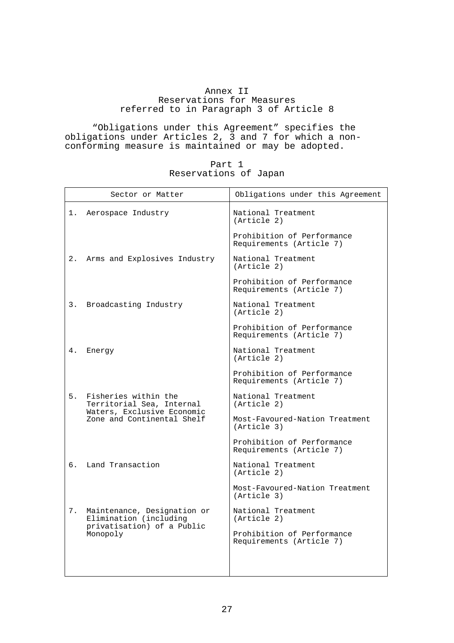# Annex II

Reservations for Measures referred to in Paragraph 3 of Article 8

 "Obligations under this Agreement" specifies the obligations under Articles 2, 3 and 7 for which a nonconforming measure is maintained or may be adopted.

| Part 1                |  |
|-----------------------|--|
| Reservations of Japan |  |

|    | Sector or Matter                                         | Obligations under this Agreement                       |
|----|----------------------------------------------------------|--------------------------------------------------------|
| 1. | Aerospace Industry                                       | National Treatment<br>(Article 2)                      |
|    |                                                          | Prohibition of Performance<br>Requirements (Article 7) |
| 2. | Arms and Explosives Industry                             | National Treatment<br>(Article 2)                      |
|    |                                                          | Prohibition of Performance<br>Requirements (Article 7) |
|    | 3. Broadcasting Industry                                 | National Treatment<br>(Article 2)                      |
|    |                                                          | Prohibition of Performance<br>Requirements (Article 7) |
| 4. | Energy                                                   | National Treatment<br>(Article 2)                      |
|    |                                                          | Prohibition of Performance<br>Requirements (Article 7) |
| 5. | Fisheries within the<br>Territorial Sea, Internal        | National Treatment<br>(Article 2)                      |
|    | Waters, Exclusive Economic<br>Zone and Continental Shelf | Most-Favoured-Nation Treatment<br>(Article 3)          |
|    |                                                          | Prohibition of Performance<br>Requirements (Article 7) |
| б. | Land Transaction                                         | National Treatment<br>(Article 2)                      |
|    |                                                          | Most-Favoured-Nation Treatment<br>(Article 3)          |
| 7. | Maintenance, Designation or<br>Elimination (including    | National Treatment<br>(Article 2)                      |
|    | privatisation) of a Public<br>Monopoly                   | Prohibition of Performance<br>Requirements (Article 7) |
|    |                                                          |                                                        |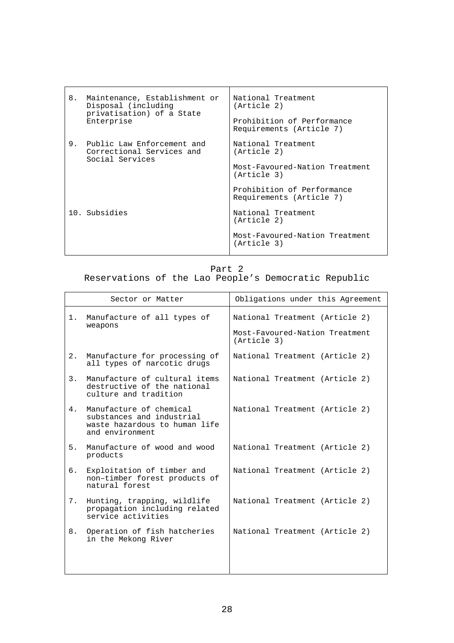| 8. | Maintenance, Establishment or<br>Disposal (including<br>privatisation) of a State<br>Enterprise | National Treatment<br>(Article 2)<br>Prohibition of Performance<br>Requirements (Article 7) |
|----|-------------------------------------------------------------------------------------------------|---------------------------------------------------------------------------------------------|
| 9. | Public Law Enforcement and<br>Correctional Services and<br>Social Services                      | National Treatment<br>(Article 2)<br>Most-Favoured-Nation Treatment<br>(Article 3)          |
|    | 10. Subsidies                                                                                   | Prohibition of Performance<br>Requirements (Article 7)<br>National Treatment<br>(Article 2) |
|    |                                                                                                 | Most-Favoured-Nation Treatment<br>(Article 3)                                               |

Part 2

Reservations of the Lao People's Democratic Republic

| Sector or Matter                                                                                               | Obligations under this Agreement              |
|----------------------------------------------------------------------------------------------------------------|-----------------------------------------------|
| Manufacture of all types of<br>1.<br>weapons                                                                   | National Treatment (Article 2)                |
|                                                                                                                | Most-Favoured-Nation Treatment<br>(Article 3) |
| 2.<br>Manufacture for processing of<br>all types of narcotic drugs                                             | National Treatment (Article 2)                |
| Manufacture of cultural items<br>3.<br>destructive of the national<br>culture and tradition                    | National Treatment (Article 2)                |
| Manufacture of chemical<br>4.<br>substances and industrial<br>waste hazardous to human life<br>and environment | National Treatment (Article 2)                |
| 5.<br>Manufacture of wood and wood<br>products                                                                 | National Treatment (Article 2)                |
| б.<br>Exploitation of timber and<br>non-timber forest products of<br>natural forest                            | National Treatment (Article 2)                |
| Hunting, trapping, wildlife<br>7.<br>propagation including related<br>service activities                       | National Treatment (Article 2)                |
| 8.<br>Operation of fish hatcheries<br>in the Mekong River                                                      | National Treatment (Article 2)                |
|                                                                                                                |                                               |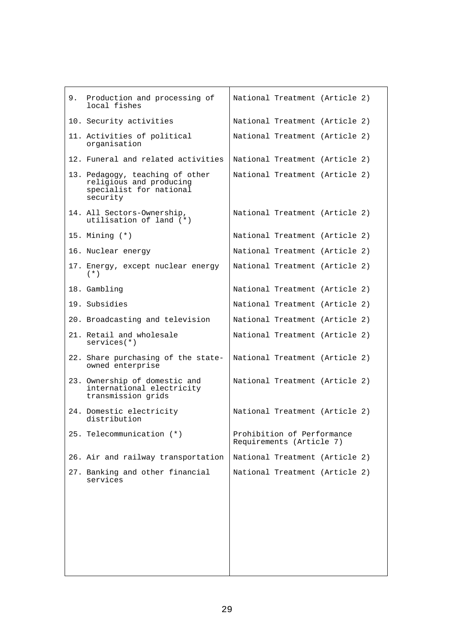| 9. Production and processing of<br>local fishes                                                   | National Treatment (Article 2)                         |
|---------------------------------------------------------------------------------------------------|--------------------------------------------------------|
| 10. Security activities                                                                           | National Treatment (Article 2)                         |
| 11. Activities of political<br>organisation                                                       | National Treatment (Article 2)                         |
| 12. Funeral and related activities                                                                | National Treatment (Article 2)                         |
| 13. Pedagogy, teaching of other<br>religious and producing<br>specialist for national<br>security | National Treatment (Article 2)                         |
| 14. All Sectors-Ownership,<br>utilisation of land (*)                                             | National Treatment (Article 2)                         |
| 15. Mining $(*)$                                                                                  | National Treatment (Article 2)                         |
| 16. Nuclear energy                                                                                | National Treatment (Article 2)                         |
| 17. Energy, except nuclear energy<br>$(* )$                                                       | National Treatment (Article 2)                         |
| 18. Gambling                                                                                      | National Treatment (Article 2)                         |
| 19. Subsidies                                                                                     | National Treatment (Article 2)                         |
| 20. Broadcasting and television                                                                   | National Treatment (Article 2)                         |
| 21. Retail and wholesale<br>$s$ ervices $(*)$                                                     | National Treatment (Article 2)                         |
| 22. Share purchasing of the state-<br>owned enterprise                                            | National Treatment (Article 2)                         |
| 23. Ownership of domestic and<br>international electricity<br>transmission grids                  | National Treatment (Article 2)                         |
| 24. Domestic electricity<br>distribution                                                          | National Treatment (Article 2)                         |
| 25. Telecommunication (*)                                                                         | Prohibition of Performance<br>Requirements (Article 7) |
| 26. Air and railway transportation                                                                | National Treatment (Article 2)                         |
| 27. Banking and other financial<br>services                                                       | National Treatment (Article 2)                         |
|                                                                                                   |                                                        |
|                                                                                                   |                                                        |
|                                                                                                   |                                                        |
|                                                                                                   |                                                        |
|                                                                                                   |                                                        |